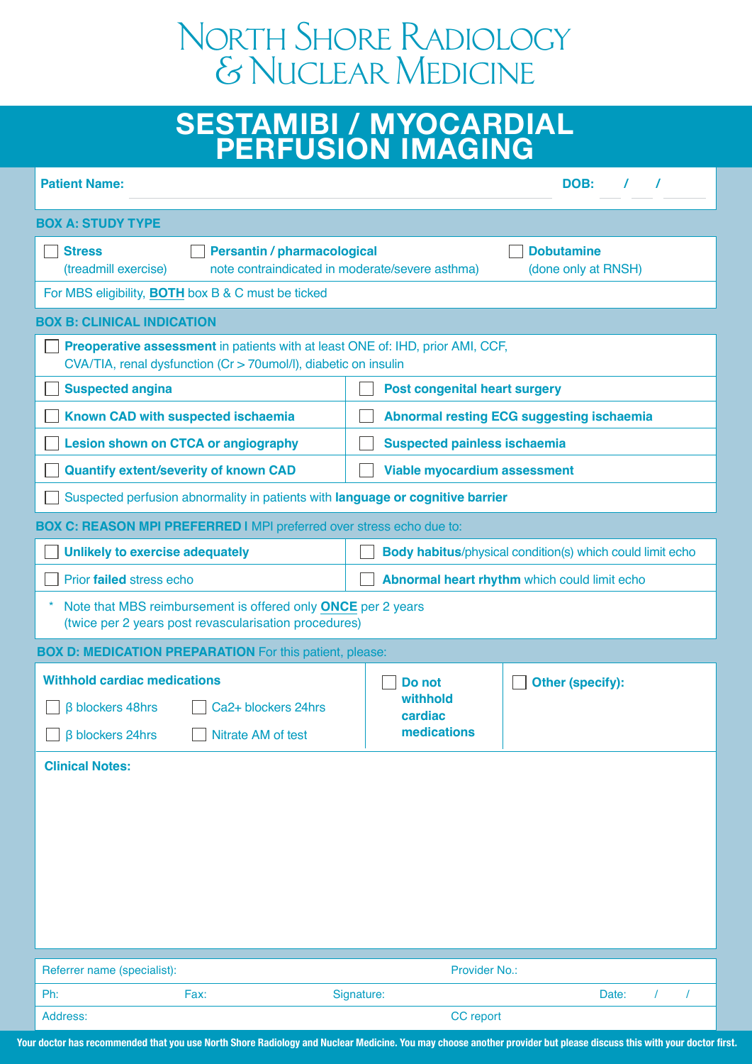# North Shore Radiology & Nuclear Medicine

# **SESTAMIBI / MYOCARDIAL PERFUSION IMAGING**

| <b>Patient Name:</b>                                                                                                                                                       | DOB:                                                             |  |  |  |  |  |
|----------------------------------------------------------------------------------------------------------------------------------------------------------------------------|------------------------------------------------------------------|--|--|--|--|--|
| <b>BOX A: STUDY TYPE</b>                                                                                                                                                   |                                                                  |  |  |  |  |  |
| <b>Stress</b><br><b>Dobutamine</b><br><b>Persantin / pharmacological</b><br>note contraindicated in moderate/severe asthma)<br>(done only at RNSH)<br>(treadmill exercise) |                                                                  |  |  |  |  |  |
| For MBS eligibility, BOTH box B & C must be ticked                                                                                                                         |                                                                  |  |  |  |  |  |
| <b>BOX B: CLINICAL INDICATION</b>                                                                                                                                          |                                                                  |  |  |  |  |  |
| <b>Preoperative assessment</b> in patients with at least ONE of: IHD, prior AMI, CCF,<br>CVA/TIA, renal dysfunction (Cr > 70umol/l), diabetic on insulin                   |                                                                  |  |  |  |  |  |
| <b>Suspected angina</b>                                                                                                                                                    | <b>Post congenital heart surgery</b>                             |  |  |  |  |  |
| Known CAD with suspected ischaemia                                                                                                                                         | <b>Abnormal resting ECG suggesting ischaemia</b>                 |  |  |  |  |  |
| <b>Lesion shown on CTCA or angiography</b>                                                                                                                                 | <b>Suspected painless ischaemia</b>                              |  |  |  |  |  |
| <b>Quantify extent/severity of known CAD</b>                                                                                                                               | <b>Viable myocardium assessment</b>                              |  |  |  |  |  |
| Suspected perfusion abnormality in patients with language or cognitive barrier                                                                                             |                                                                  |  |  |  |  |  |
| <b>BOX C: REASON MPI PREFERRED I</b> MPI preferred over stress echo due to:                                                                                                |                                                                  |  |  |  |  |  |
| Unlikely to exercise adequately                                                                                                                                            | <b>Body habitus/physical condition(s) which could limit echo</b> |  |  |  |  |  |
| Prior failed stress echo                                                                                                                                                   | Abnormal heart rhythm which could limit echo                     |  |  |  |  |  |
| $\star$<br>Note that MBS reimbursement is offered only ONCE per 2 years<br>(twice per 2 years post revascularisation procedures)                                           |                                                                  |  |  |  |  |  |
| <b>BOX D: MEDICATION PREPARATION</b> For this patient, please:                                                                                                             |                                                                  |  |  |  |  |  |
| <b>Withhold cardiac medications</b><br><b>B</b> blockers 48hrs<br>Ca <sub>2+</sub> blockers 24hrs<br>$\Box$ β blockers 24hrs<br>Nitrate AM of test                         | Do not<br>Other (specify):<br>withhold<br>cardiac<br>medications |  |  |  |  |  |
| <b>Clinical Notes:</b>                                                                                                                                                     |                                                                  |  |  |  |  |  |
|                                                                                                                                                                            |                                                                  |  |  |  |  |  |
| Referrer name (specialist):                                                                                                                                                | Provider No.:                                                    |  |  |  |  |  |
| Ph:<br>Fax:                                                                                                                                                                | Signature:<br>Date:<br>$\prime$                                  |  |  |  |  |  |
| Address:                                                                                                                                                                   | CC report                                                        |  |  |  |  |  |

**Your doctor has recommended that you use North Shore Radiology and Nuclear Medicine. You may choose another provider but please discuss this with your doctor first.**